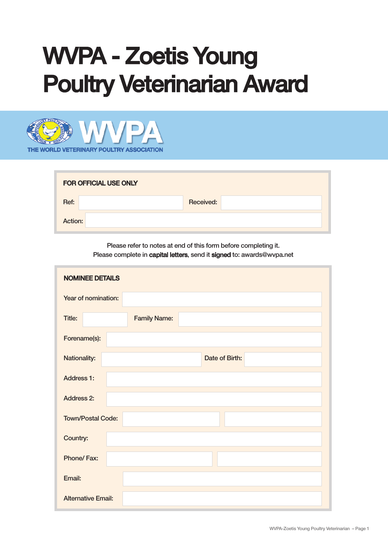## WVPA - Zoetis Young **Poultry Veterinarian Award**



| <b>FOR OFFICIAL USE ONLY</b> |           |  |
|------------------------------|-----------|--|
| Ref:                         | Received: |  |
| Action:                      |           |  |

Please refer to notes at end of this form before completing it. Please complete in capital letters, send it signed to: awards@wvpa.net

| <b>NOMINEE DETAILS</b>         |
|--------------------------------|
| Year of nomination:            |
| Title:<br><b>Family Name:</b>  |
| Forename(s):                   |
| Nationality:<br>Date of Birth: |
| <b>Address 1:</b>              |
| <b>Address 2:</b>              |
| <b>Town/Postal Code:</b>       |
| Country:                       |
| Phone/Fax:                     |
| Email:                         |
| <b>Alternative Email:</b>      |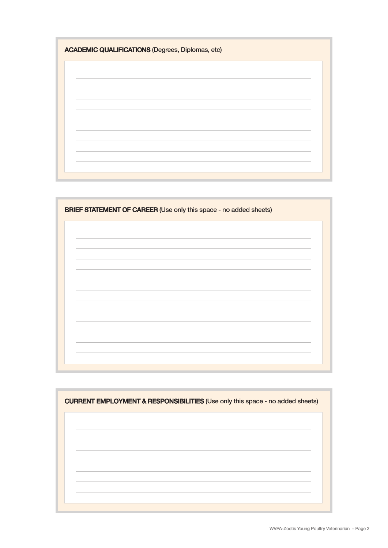| <b>ACADEMIC QUALIFICATIONS (Degrees, Diplomas, etc)</b> |  |  |
|---------------------------------------------------------|--|--|
|                                                         |  |  |
|                                                         |  |  |
|                                                         |  |  |
|                                                         |  |  |
|                                                         |  |  |
|                                                         |  |  |

| <b>BRIEF STATEMENT OF CAREER (Use only this space - no added sheets)</b> |  |  |
|--------------------------------------------------------------------------|--|--|
|                                                                          |  |  |
|                                                                          |  |  |
|                                                                          |  |  |
|                                                                          |  |  |
|                                                                          |  |  |
|                                                                          |  |  |
|                                                                          |  |  |
|                                                                          |  |  |

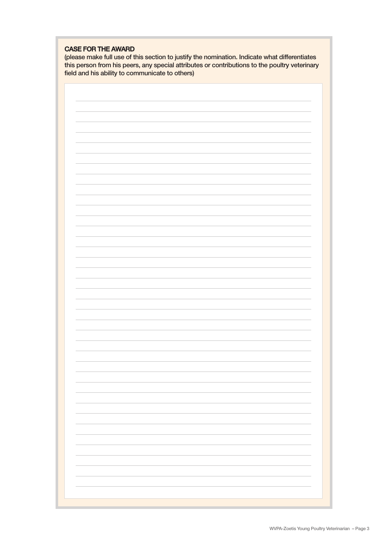## CASE FOR THE AWARD

(please make full use of this section to justify the nomination. Indicate what differentiates this person from his peers, any special attributes or contributions to the poultry veterinary field and his ability to communicate to others)

| $\overline{\phantom{a}}$ |
|--------------------------|
|                          |
|                          |
|                          |
|                          |
|                          |
|                          |
|                          |
|                          |
|                          |
|                          |
|                          |
|                          |
|                          |
|                          |
|                          |
|                          |
|                          |
|                          |
|                          |
|                          |
|                          |
|                          |
|                          |
|                          |
|                          |
|                          |